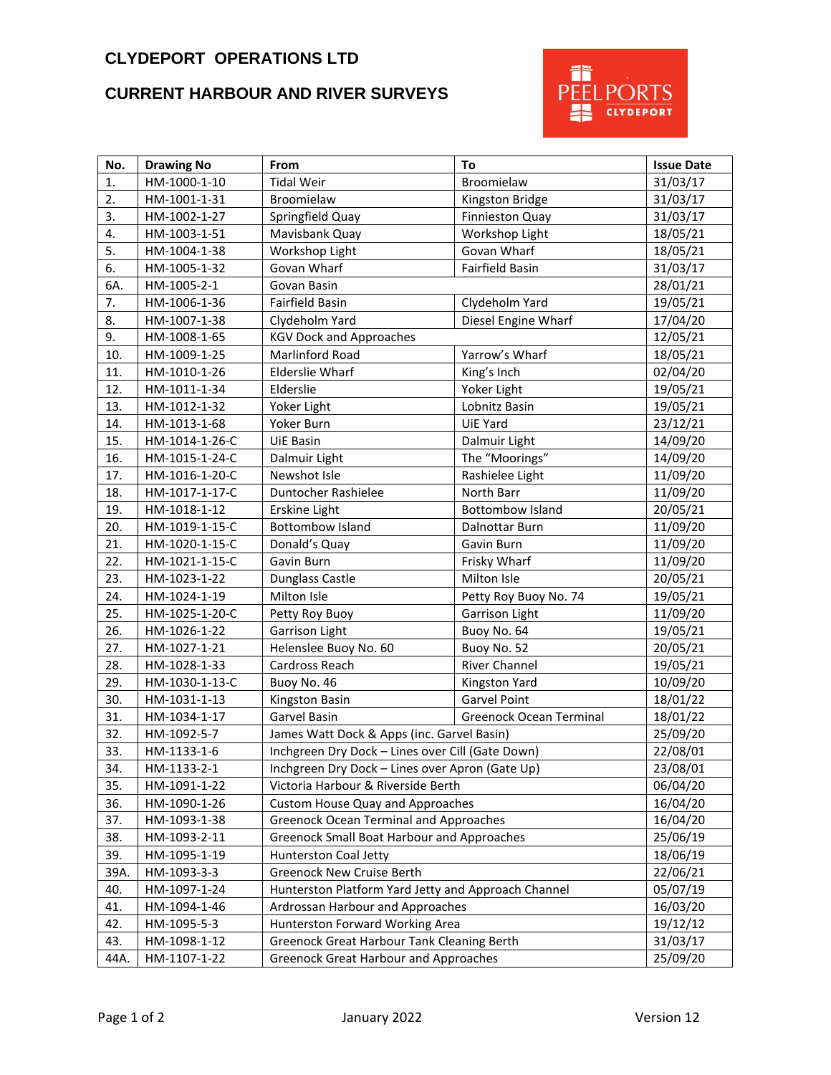## **CLYDEPORT OPERATIONS LTD**

## **CURRENT HARBOUR AND RIVER SURVEYS**



| No.  | <b>Drawing No</b> | From                                                | To                             | <b>Issue Date</b> |
|------|-------------------|-----------------------------------------------------|--------------------------------|-------------------|
| 1.   | HM-1000-1-10      | <b>Tidal Weir</b>                                   | Broomielaw                     | 31/03/17          |
| 2.   | HM-1001-1-31      | Broomielaw                                          | Kingston Bridge                | 31/03/17          |
| 3.   | HM-1002-1-27      | Springfield Quay                                    | Finnieston Quay                | 31/03/17          |
| 4.   | HM-1003-1-51      | Mavisbank Quay                                      | Workshop Light                 | 18/05/21          |
| 5.   | HM-1004-1-38      | Workshop Light                                      | Govan Wharf                    | 18/05/21          |
| 6.   | HM-1005-1-32      | Govan Wharf                                         | Fairfield Basin                | 31/03/17          |
| 6A.  | HM-1005-2-1       | Govan Basin                                         |                                | 28/01/21          |
| 7.   | HM-1006-1-36      | Fairfield Basin                                     | Clydeholm Yard                 | 19/05/21          |
| 8.   | HM-1007-1-38      | Clydeholm Yard                                      | Diesel Engine Wharf            | 17/04/20          |
| 9.   | HM-1008-1-65      | <b>KGV Dock and Approaches</b>                      |                                | 12/05/21          |
| 10.  | HM-1009-1-25      | Marlinford Road                                     | Yarrow's Wharf                 | 18/05/21          |
| 11.  | HM-1010-1-26      | <b>Elderslie Wharf</b>                              | King's Inch                    | 02/04/20          |
| 12.  | HM-1011-1-34      | Elderslie                                           | Yoker Light                    | 19/05/21          |
| 13.  | HM-1012-1-32      | Yoker Light                                         | Lobnitz Basin                  | 19/05/21          |
| 14.  | HM-1013-1-68      | Yoker Burn                                          | UiE Yard                       | 23/12/21          |
| 15.  | HM-1014-1-26-C    | <b>UiE Basin</b>                                    | Dalmuir Light                  | 14/09/20          |
| 16.  | HM-1015-1-24-C    | Dalmuir Light                                       | The "Moorings"                 | 14/09/20          |
| 17.  | HM-1016-1-20-C    | Newshot Isle                                        | Rashielee Light                | 11/09/20          |
| 18.  | HM-1017-1-17-C    | Duntocher Rashielee                                 | North Barr                     | 11/09/20          |
| 19.  | HM-1018-1-12      | Erskine Light                                       | <b>Bottombow Island</b>        | 20/05/21          |
| 20.  | HM-1019-1-15-C    | <b>Bottombow Island</b>                             | Dalnottar Burn                 | 11/09/20          |
| 21.  | HM-1020-1-15-C    | Donald's Quay                                       | Gavin Burn                     | 11/09/20          |
| 22.  | HM-1021-1-15-C    | Gavin Burn                                          | Frisky Wharf                   | 11/09/20          |
| 23.  | HM-1023-1-22      | Dunglass Castle                                     | Milton Isle                    | 20/05/21          |
| 24.  | HM-1024-1-19      | Milton Isle                                         | Petty Roy Buoy No. 74          | 19/05/21          |
| 25.  | HM-1025-1-20-C    | Petty Roy Buoy                                      | Garrison Light                 | 11/09/20          |
| 26.  | HM-1026-1-22      | Garrison Light                                      | Buoy No. 64                    | 19/05/21          |
| 27.  | HM-1027-1-21      | Helenslee Buoy No. 60                               | Buoy No. 52                    | 20/05/21          |
| 28.  | HM-1028-1-33      | Cardross Reach                                      | <b>River Channel</b>           | 19/05/21          |
| 29.  | HM-1030-1-13-C    | Buoy No. 46                                         | Kingston Yard                  | 10/09/20          |
| 30.  | HM-1031-1-13      | Kingston Basin                                      | Garvel Point                   | 18/01/22          |
| 31.  | HM-1034-1-17      | Garvel Basin                                        | <b>Greenock Ocean Terminal</b> | 18/01/22          |
| 32.  | HM-1092-5-7       | James Watt Dock & Apps (inc. Garvel Basin)          |                                | 25/09/20          |
| 33.  | HM-1133-1-6       | Inchgreen Dry Dock - Lines over Cill (Gate Down)    |                                | 22/08/01          |
| 34.  | HM-1133-2-1       | Inchgreen Dry Dock - Lines over Apron (Gate Up)     |                                | 23/08/01          |
| 35.  | HM-1091-1-22      | Victoria Harbour & Riverside Berth                  |                                | 06/04/20          |
| 36.  | HM-1090-1-26      | Custom House Quay and Approaches                    |                                | 16/04/20          |
| 37.  | HM-1093-1-38      | <b>Greenock Ocean Terminal and Approaches</b>       |                                | 16/04/20          |
| 38.  | HM-1093-2-11      | <b>Greenock Small Boat Harbour and Approaches</b>   |                                | 25/06/19          |
| 39.  | HM-1095-1-19      | Hunterston Coal Jetty                               |                                | 18/06/19          |
| 39A. | HM-1093-3-3       | <b>Greenock New Cruise Berth</b>                    |                                | 22/06/21          |
| 40.  | HM-1097-1-24      | Hunterston Platform Yard Jetty and Approach Channel |                                | 05/07/19          |
| 41.  | HM-1094-1-46      | Ardrossan Harbour and Approaches<br>16/03/20        |                                |                   |
| 42.  | HM-1095-5-3       | Hunterston Forward Working Area                     |                                | 19/12/12          |
| 43.  | HM-1098-1-12      | Greenock Great Harbour Tank Cleaning Berth          |                                | 31/03/17          |
| 44A. | HM-1107-1-22      | <b>Greenock Great Harbour and Approaches</b>        |                                | 25/09/20          |